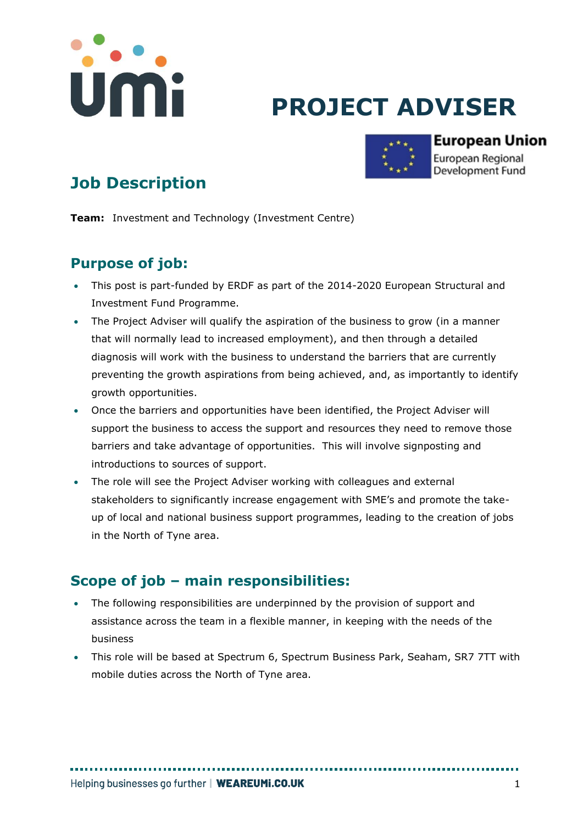

# **PROJECT ADVISER**



#### **European Union** European Regional Development Fund

## **Job Description**

**Team:** Investment and Technology (Investment Centre)

## **Purpose of job:**

- This post is part-funded by ERDF as part of the 2014-2020 European Structural and Investment Fund Programme.
- The Project Adviser will qualify the aspiration of the business to grow (in a manner that will normally lead to increased employment), and then through a detailed diagnosis will work with the business to understand the barriers that are currently preventing the growth aspirations from being achieved, and, as importantly to identify growth opportunities.
- Once the barriers and opportunities have been identified, the Project Adviser will support the business to access the support and resources they need to remove those barriers and take advantage of opportunities. This will involve signposting and introductions to sources of support.
- The role will see the Project Adviser working with colleagues and external stakeholders to significantly increase engagement with SME's and promote the takeup of local and national business support programmes, leading to the creation of jobs in the North of Tyne area.

## **Scope of job – main responsibilities:**

- The following responsibilities are underpinned by the provision of support and assistance across the team in a flexible manner, in keeping with the needs of the business
- This role will be based at Spectrum 6, Spectrum Business Park, Seaham, SR7 7TT with mobile duties across the North of Tyne area.

. . . . . . . . . . . . . . .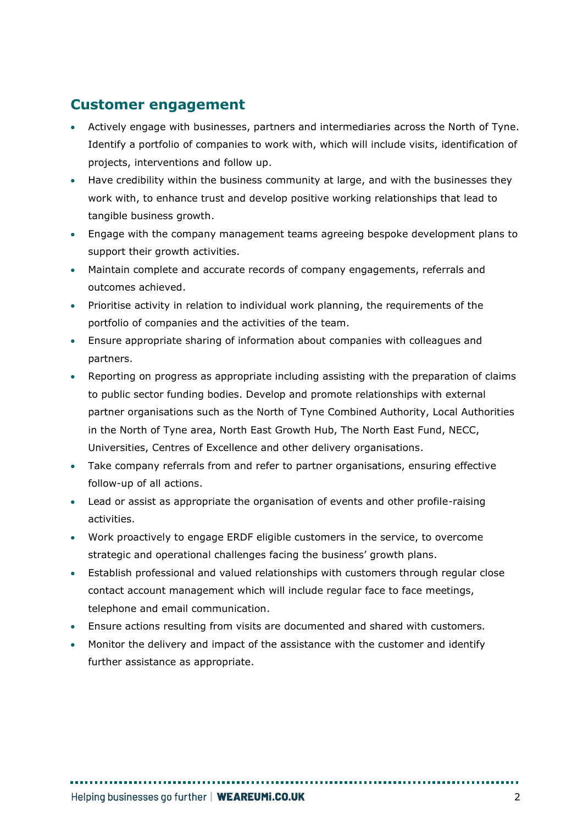## **Customer engagement**

- Actively engage with businesses, partners and intermediaries across the North of Tyne. Identify a portfolio of companies to work with, which will include visits, identification of projects, interventions and follow up.
- Have credibility within the business community at large, and with the businesses they work with, to enhance trust and develop positive working relationships that lead to tangible business growth.
- Engage with the company management teams agreeing bespoke development plans to support their growth activities.
- Maintain complete and accurate records of company engagements, referrals and outcomes achieved.
- Prioritise activity in relation to individual work planning, the requirements of the portfolio of companies and the activities of the team.
- Ensure appropriate sharing of information about companies with colleagues and partners.
- Reporting on progress as appropriate including assisting with the preparation of claims to public sector funding bodies. Develop and promote relationships with external partner organisations such as the North of Tyne Combined Authority, Local Authorities in the North of Tyne area, North East Growth Hub, The North East Fund, NECC, Universities, Centres of Excellence and other delivery organisations.
- Take company referrals from and refer to partner organisations, ensuring effective follow-up of all actions.
- Lead or assist as appropriate the organisation of events and other profile-raising activities.
- Work proactively to engage ERDF eligible customers in the service, to overcome strategic and operational challenges facing the business' growth plans.
- Establish professional and valued relationships with customers through regular close contact account management which will include regular face to face meetings, telephone and email communication.
- Ensure actions resulting from visits are documented and shared with customers.
- Monitor the delivery and impact of the assistance with the customer and identify further assistance as appropriate.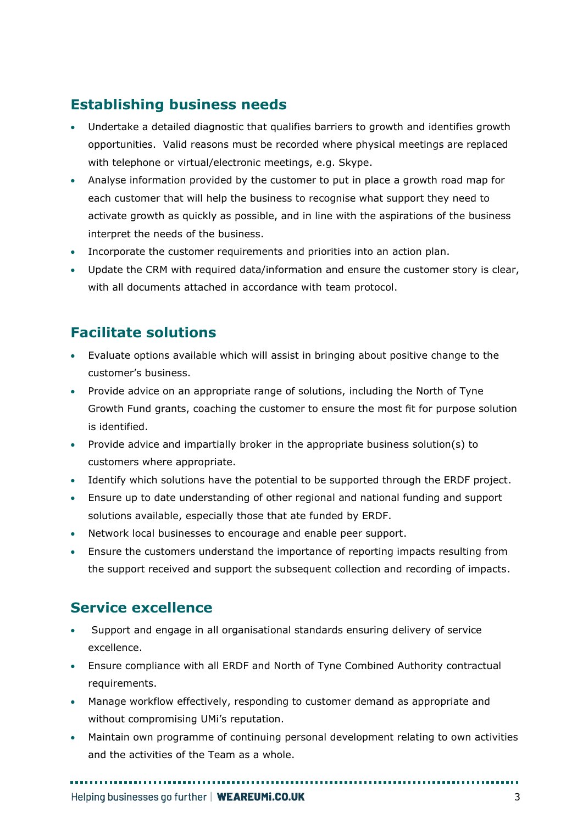## **Establishing business needs**

- Undertake a detailed diagnostic that qualifies barriers to growth and identifies growth opportunities. Valid reasons must be recorded where physical meetings are replaced with telephone or virtual/electronic meetings, e.g. Skype.
- Analyse information provided by the customer to put in place a growth road map for each customer that will help the business to recognise what support they need to activate growth as quickly as possible, and in line with the aspirations of the business interpret the needs of the business.
- Incorporate the customer requirements and priorities into an action plan.
- Update the CRM with required data/information and ensure the customer story is clear, with all documents attached in accordance with team protocol.

## **Facilitate solutions**

- Evaluate options available which will assist in bringing about positive change to the customer's business.
- Provide advice on an appropriate range of solutions, including the North of Tyne Growth Fund grants, coaching the customer to ensure the most fit for purpose solution is identified.
- Provide advice and impartially broker in the appropriate business solution(s) to customers where appropriate.
- Identify which solutions have the potential to be supported through the ERDF project.
- Ensure up to date understanding of other regional and national funding and support solutions available, especially those that ate funded by ERDF.
- Network local businesses to encourage and enable peer support.
- Ensure the customers understand the importance of reporting impacts resulting from the support received and support the subsequent collection and recording of impacts.

#### **Service excellence**

- Support and engage in all organisational standards ensuring delivery of service excellence.
- Ensure compliance with all ERDF and North of Tyne Combined Authority contractual requirements.
- Manage workflow effectively, responding to customer demand as appropriate and without compromising UMi's reputation.
- Maintain own programme of continuing personal development relating to own activities and the activities of the Team as a whole.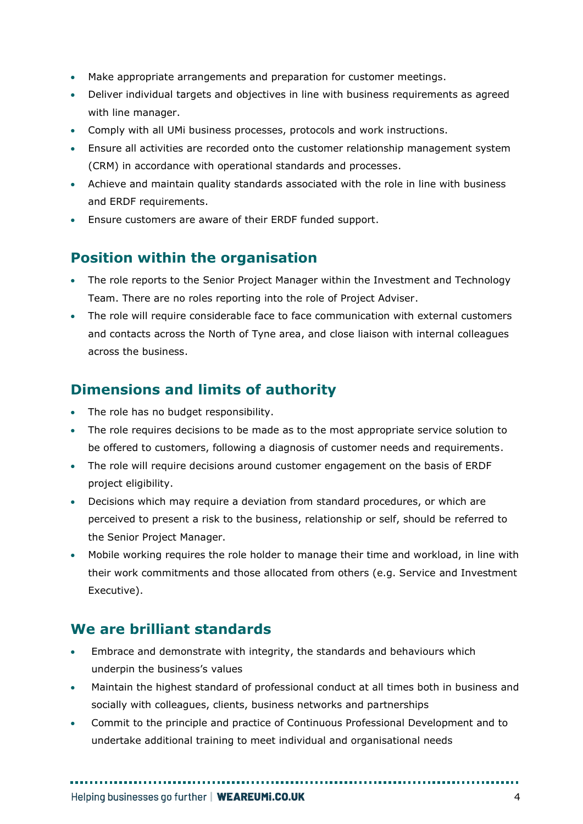- Make appropriate arrangements and preparation for customer meetings.
- Deliver individual targets and objectives in line with business requirements as agreed with line manager.
- Comply with all UMi business processes, protocols and work instructions.
- Ensure all activities are recorded onto the customer relationship management system (CRM) in accordance with operational standards and processes.
- Achieve and maintain quality standards associated with the role in line with business and ERDF requirements.
- Ensure customers are aware of their ERDF funded support.

#### **Position within the organisation**

- The role reports to the Senior Project Manager within the Investment and Technology Team. There are no roles reporting into the role of Project Adviser.
- The role will require considerable face to face communication with external customers and contacts across the North of Tyne area, and close liaison with internal colleagues across the business.

#### **Dimensions and limits of authority**

- The role has no budget responsibility.
- The role requires decisions to be made as to the most appropriate service solution to be offered to customers, following a diagnosis of customer needs and requirements.
- The role will require decisions around customer engagement on the basis of ERDF project eligibility.
- Decisions which may require a deviation from standard procedures, or which are perceived to present a risk to the business, relationship or self, should be referred to the Senior Project Manager.
- Mobile working requires the role holder to manage their time and workload, in line with their work commitments and those allocated from others (e.g. Service and Investment Executive).

#### **We are brilliant standards**

- Embrace and demonstrate with integrity, the standards and behaviours which underpin the business's values
- Maintain the highest standard of professional conduct at all times both in business and socially with colleagues, clients, business networks and partnerships
- Commit to the principle and practice of Continuous Professional Development and to undertake additional training to meet individual and organisational needs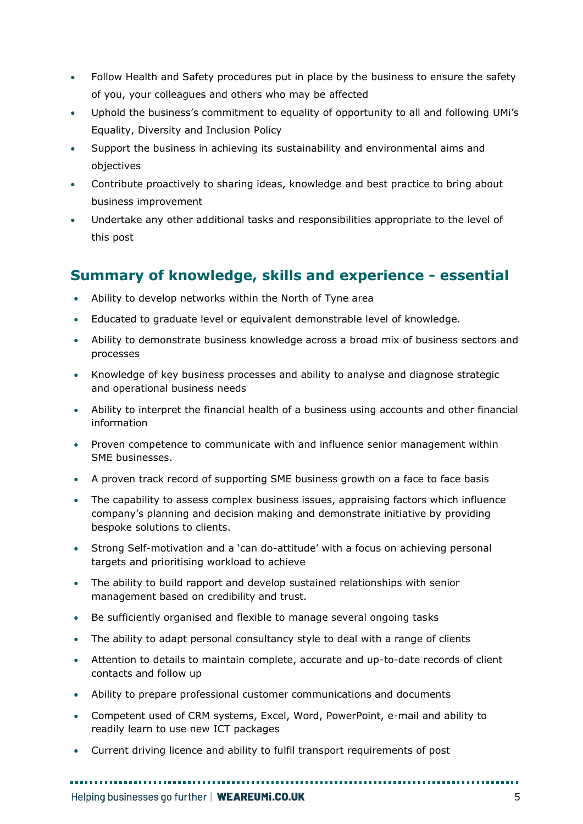- Follow Health and Safety procedures put in place by the business to ensure the safety of you, your colleagues and others who may be affected
- Uphold the business's commitment to equality of opportunity to all and following UMi's Equality, Diversity and Inclusion Policy
- Support the business in achieving its sustainability and environmental aims and objectives
- Contribute proactively to sharing ideas, knowledge and best practice to bring about business improvement
- Undertake any other additional tasks and responsibilities appropriate to the level of this post

## **Summary of knowledge, skills and experience - essential**

- Ability to develop networks within the North of Tyne area
- Educated to graduate level or equivalent demonstrable level of knowledge.
- Ability to demonstrate business knowledge across a broad mix of business sectors and processes
- Knowledge of key business processes and ability to analyse and diagnose strategic and operational business needs
- Ability to interpret the financial health of a business using accounts and other financial information
- Proven competence to communicate with and influence senior management within SME businesses.
- A proven track record of supporting SME business growth on a face to face basis
- The capability to assess complex business issues, appraising factors which influence company's planning and decision making and demonstrate initiative by providing bespoke solutions to clients.
- Strong Self-motivation and a 'can do-attitude' with a focus on achieving personal targets and prioritising workload to achieve
- The ability to build rapport and develop sustained relationships with senior management based on credibility and trust.
- Be sufficiently organised and flexible to manage several ongoing tasks
- The ability to adapt personal consultancy style to deal with a range of clients
- Attention to details to maintain complete, accurate and up-to-date records of client contacts and follow up
- Ability to prepare professional customer communications and documents
- Competent used of CRM systems, Excel, Word, PowerPoint, e-mail and ability to readily learn to use new ICT packages
- Current driving licence and ability to fulfil transport requirements of post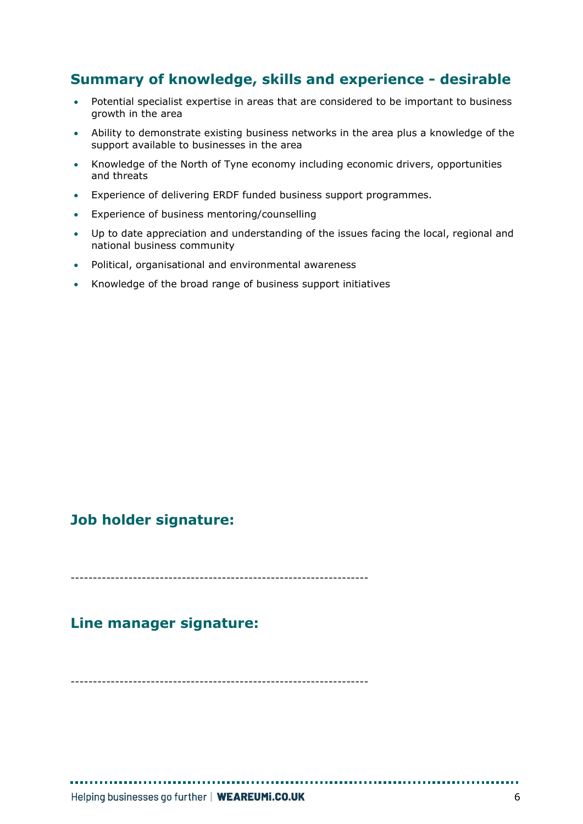## **Summary of knowledge, skills and experience - desirable**

- Potential specialist expertise in areas that are considered to be important to business growth in the area
- Ability to demonstrate existing business networks in the area plus a knowledge of the support available to businesses in the area
- Knowledge of the North of Tyne economy including economic drivers, opportunities and threats
- Experience of delivering ERDF funded business support programmes.
- Experience of business mentoring/counselling
- Up to date appreciation and understanding of the issues facing the local, regional and national business community
- Political, organisational and environmental awareness
- Knowledge of the broad range of business support initiatives

#### **Job holder signature:**

-------------------------------------------------------------------

#### **Line manager signature:**

-------------------------------------------------------------------